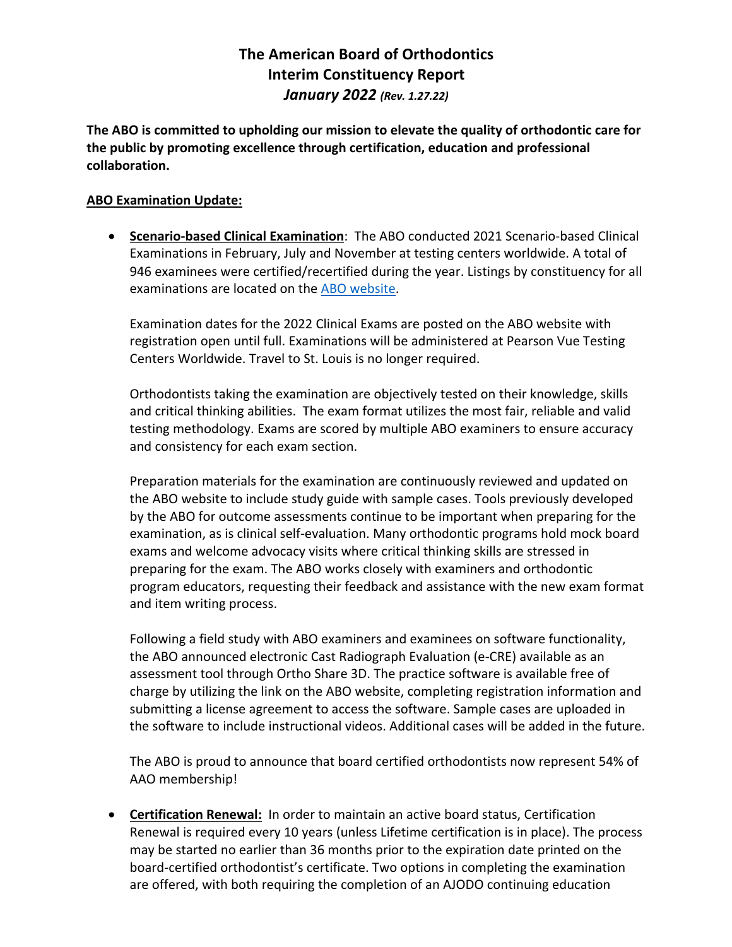## **The American Board of Orthodontics Interim Constituency Report** *January 2022 (Rev. 1.27.22)*

**The ABO is committed to upholding our mission to elevate the quality of orthodontic care for the public by promoting excellence through certification, education and professional collaboration.**

## **ABO Examination Update:**

• **Scenario-based Clinical Examination**: The ABO conducted 2021 Scenario-based Clinical Examinations in February, July and November at testing centers worldwide. A total of 946 examinees were certified/recertified during the year. Listings by constituency for all examinations are located on the ABO website.

Examination dates for the 2022 Clinical Exams are posted on the ABO website with registration open until full. Examinations will be administered at Pearson Vue Testing Centers Worldwide. Travel to St. Louis is no longer required.

Orthodontists taking the examination are objectively tested on their knowledge, skills and critical thinking abilities. The exam format utilizes the most fair, reliable and valid testing methodology. Exams are scored by multiple ABO examiners to ensure accuracy and consistency for each exam section.

Preparation materials for the examination are continuously reviewed and updated on the ABO website to include study guide with sample cases. Tools previously developed by the ABO for outcome assessments continue to be important when preparing for the examination, as is clinical self-evaluation. Many orthodontic programs hold mock board exams and welcome advocacy visits where critical thinking skills are stressed in preparing for the exam. The ABO works closely with examiners and orthodontic program educators, requesting their feedback and assistance with the new exam format and item writing process.

Following a field study with ABO examiners and examinees on software functionality, the ABO announced electronic Cast Radiograph Evaluation (e-CRE) available as an assessment tool through Ortho Share 3D. The practice software is available free of charge by utilizing the link on the ABO website, completing registration information and submitting a license agreement to access the software. Sample cases are uploaded in the software to include instructional videos. Additional cases will be added in the future.

The ABO is proud to announce that board certified orthodontists now represent 54% of AAO membership!

• **Certification Renewal:** In order to maintain an active board status, Certification Renewal is required every 10 years (unless Lifetime certification is in place). The process may be started no earlier than 36 months prior to the expiration date printed on the board-certified orthodontist's certificate. Two options in completing the examination are offered, with both requiring the completion of an AJODO continuing education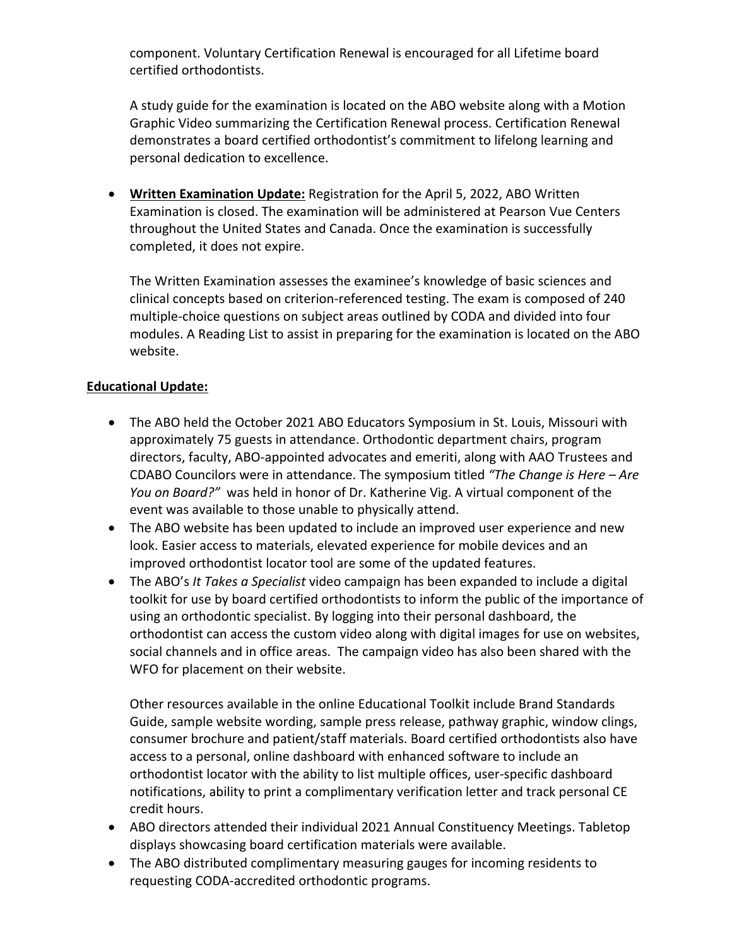component. Voluntary Certification Renewal is encouraged for all Lifetime board certified orthodontists.

A study guide for the examination is located on the ABO website along with a Motion Graphic Video summarizing the Certification Renewal process. Certification Renewal demonstrates a board certified orthodontist's commitment to lifelong learning and personal dedication to excellence.

• **Written Examination Update:** Registration for the April 5, 2022, ABO Written Examination is closed. The examination will be administered at Pearson Vue Centers throughout the United States and Canada. Once the examination is successfully completed, it does not expire.

The Written Examination assesses the examinee's knowledge of basic sciences and clinical concepts based on criterion-referenced testing. The exam is composed of 240 multiple-choice questions on subject areas outlined by CODA and divided into four modules. A Reading List to assist in preparing for the examination is located on the ABO website.

## **Educational Update:**

- The ABO held the October 2021 ABO Educators Symposium in St. Louis, Missouri with approximately 75 guests in attendance. Orthodontic department chairs, program directors, faculty, ABO-appointed advocates and emeriti, along with AAO Trustees and CDABO Councilors were in attendance. The symposium titled *"The Change is Here – Are You on Board?"* was held in honor of Dr. Katherine Vig. A virtual component of the event was available to those unable to physically attend.
- The ABO website has been updated to include an improved user experience and new look. Easier access to materials, elevated experience for mobile devices and an improved orthodontist locator tool are some of the updated features.
- The ABO's *It Takes a Specialist* video campaign has been expanded to include a digital toolkit for use by board certified orthodontists to inform the public of the importance of using an orthodontic specialist. By logging into their personal dashboard, the orthodontist can access the custom video along with digital images for use on websites, social channels and in office areas. The campaign video has also been shared with the WFO for placement on their website.

Other resources available in the online Educational Toolkit include Brand Standards Guide, sample website wording, sample press release, pathway graphic, window clings, consumer brochure and patient/staff materials. Board certified orthodontists also have access to a personal, online dashboard with enhanced software to include an orthodontist locator with the ability to list multiple offices, user-specific dashboard notifications, ability to print a complimentary verification letter and track personal CE credit hours.

- ABO directors attended their individual 2021 Annual Constituency Meetings. Tabletop displays showcasing board certification materials were available.
- The ABO distributed complimentary measuring gauges for incoming residents to requesting CODA-accredited orthodontic programs.